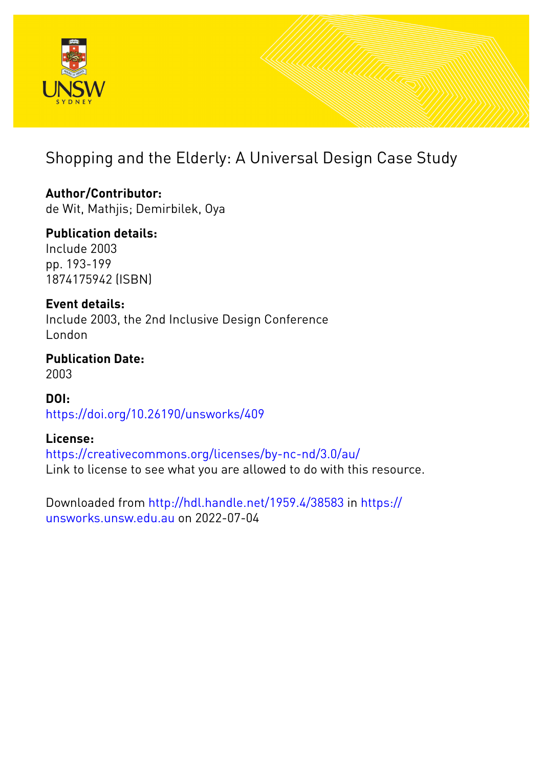

# Shopping and the Elderly: A Universal Design Case Study

**Author/Contributor:** de Wit, Mathjis; Demirbilek, Oya

**Publication details:** Include 2003 pp. 193-199 1874175942 (ISBN)

**Event details:** Include 2003, the 2nd Inclusive Design Conference London

**Publication Date:** 2003

**DOI:** [https://doi.org/10.26190/unsworks/409](http://dx.doi.org/https://doi.org/10.26190/unsworks/409)

### **License:**

<https://creativecommons.org/licenses/by-nc-nd/3.0/au/> Link to license to see what you are allowed to do with this resource.

Downloaded from <http://hdl.handle.net/1959.4/38583> in [https://](https://unsworks.unsw.edu.au) [unsworks.unsw.edu.au](https://unsworks.unsw.edu.au) on 2022-07-04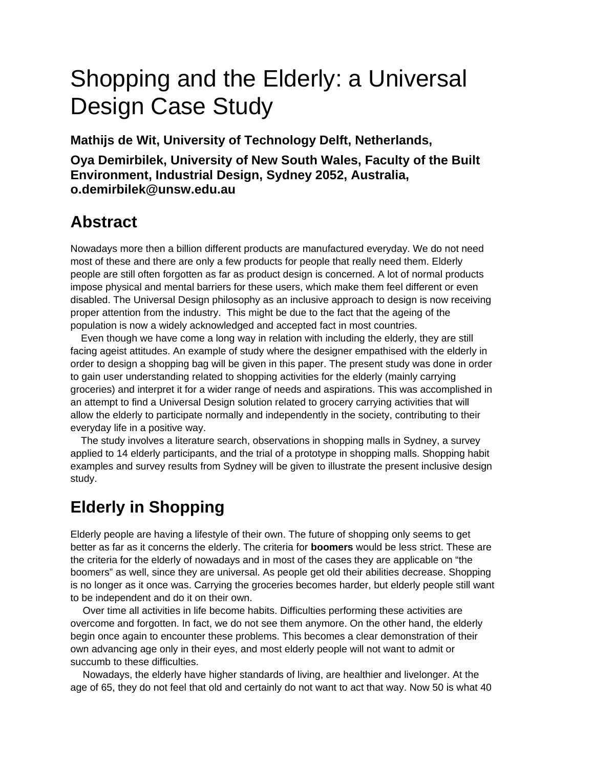# Shopping and the Elderly: a Universal Design Case Study

**Mathijs de Wit, University of Technology Delft, Netherlands,** 

**Oya Demirbilek, University of New South Wales, Faculty of the Built Environment, Industrial Design, Sydney 2052, Australia, o.demirbilek@unsw.edu.au** 

## **Abstract**

Nowadays more then a billion different products are manufactured everyday. We do not need most of these and there are only a few products for people that really need them. Elderly people are still often forgotten as far as product design is concerned. A lot of normal products impose physical and mental barriers for these users, which make them feel different or even disabled. The Universal Design philosophy as an inclusive approach to design is now receiving proper attention from the industry. This might be due to the fact that the ageing of the population is now a widely acknowledged and accepted fact in most countries.

Even though we have come a long way in relation with including the elderly, they are still facing ageist attitudes. An example of study where the designer empathised with the elderly in order to design a shopping bag will be given in this paper. The present study was done in order to gain user understanding related to shopping activities for the elderly (mainly carrying groceries) and interpret it for a wider range of needs and aspirations. This was accomplished in an attempt to find a Universal Design solution related to grocery carrying activities that will allow the elderly to participate normally and independently in the society, contributing to their everyday life in a positive way.

The study involves a literature search, observations in shopping malls in Sydney, a survey applied to 14 elderly participants, and the trial of a prototype in shopping malls. Shopping habit examples and survey results from Sydney will be given to illustrate the present inclusive design study.

# **Elderly in Shopping**

Elderly people are having a lifestyle of their own. The future of shopping only seems to get better as far as it concerns the elderly. The criteria for **boomers** would be less strict. These are the criteria for the elderly of nowadays and in most of the cases they are applicable on "the boomers" as well, since they are universal. As people get old their abilities decrease. Shopping is no longer as it once was. Carrying the groceries becomes harder, but elderly people still want to be independent and do it on their own.

Over time all activities in life become habits. Difficulties performing these activities are overcome and forgotten. In fact, we do not see them anymore. On the other hand, the elderly begin once again to encounter these problems. This becomes a clear demonstration of their own advancing age only in their eyes, and most elderly people will not want to admit or succumb to these difficulties.

Nowadays, the elderly have higher standards of living, are healthier and livelonger. At the age of 65, they do not feel that old and certainly do not want to act that way. Now 50 is what 40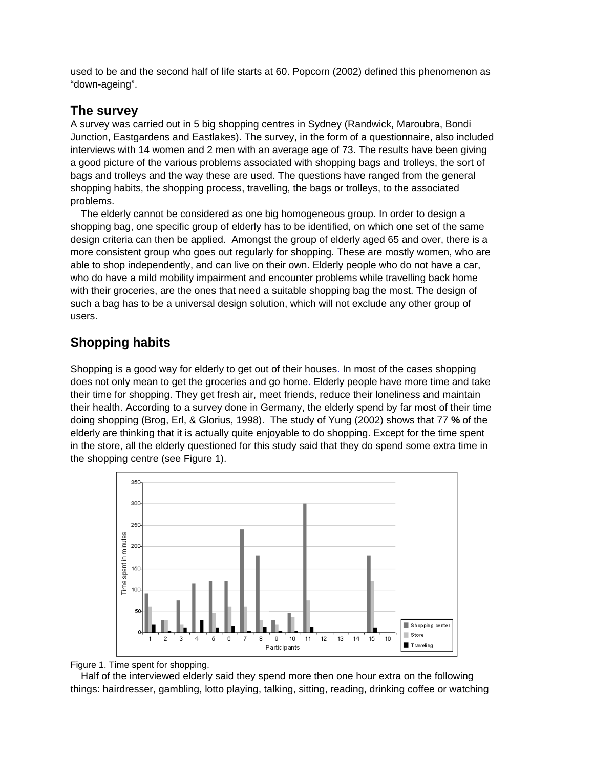used to be and the second half of life starts at 60. Popcorn (2002) defined this phenomenon as "down-ageing".

#### **The survey**

A survey was carried out in 5 big shopping centres in Sydney (Randwick, Maroubra, Bondi Junction, Eastgardens and Eastlakes). The survey, in the form of a questionnaire, also included interviews with 14 women and 2 men with an average age of 73. The results have been giving a good picture of the various problems associated with shopping bags and trolleys, the sort of bags and trolleys and the way these are used. The questions have ranged from the general shopping habits, the shopping process, travelling, the bags or trolleys, to the associated problems.

The elderly cannot be considered as one big homogeneous group. In order to design a shopping bag, one specific group of elderly has to be identified, on which one set of the same design criteria can then be applied. Amongst the group of elderly aged 65 and over, there is a more consistent group who goes out regularly for shopping. These are mostly women, who are able to shop independently, and can live on their own. Elderly people who do not have a car, who do have a mild mobility impairment and encounter problems while travelling back home with their groceries, are the ones that need a suitable shopping bag the most. The design of such a bag has to be a universal design solution, which will not exclude any other group of users.

#### **Shopping habits**

Shopping is a good way for elderly to get out of their houses. In most of the cases shopping does not only mean to get the groceries and go home. Elderly people have more time and take their time for shopping. They get fresh air, meet friends, reduce their loneliness and maintain their health. According to a survey done in Germany, the elderly spend by far most of their time doing shopping (Brog, Erl, & Glorius, 1998). The study of Yung (2002) shows that 77 **%** of the elderly are thinking that it is actually quite enjoyable to do shopping. Except for the time spent in the store, all the elderly questioned for this study said that they do spend some extra time in the shopping centre (see Figure 1).



Figure 1. Time spent for shopping.

Half of the interviewed elderly said they spend more then one hour extra on the following things: hairdresser, gambling, lotto playing, talking, sitting, reading, drinking coffee or watching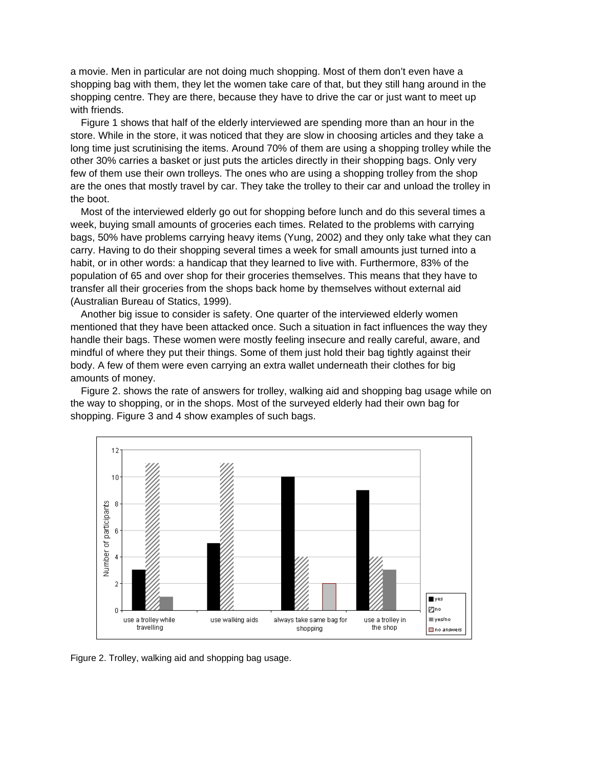a movie. Men in particular are not doing much shopping. Most of them don't even have a shopping bag with them, they let the women take care of that, but they still hang around in the shopping centre. They are there, because they have to drive the car or just want to meet up with friends.

Figure 1 shows that half of the elderly interviewed are spending more than an hour in the store. While in the store, it was noticed that they are slow in choosing articles and they take a long time just scrutinising the items. Around 70% of them are using a shopping trolley while the other 30% carries a basket or just puts the articles directly in their shopping bags. Only very few of them use their own trolleys. The ones who are using a shopping trolley from the shop are the ones that mostly travel by car. They take the trolley to their car and unload the trolley in the boot.

Most of the interviewed elderly go out for shopping before lunch and do this several times a week, buying small amounts of groceries each times. Related to the problems with carrying bags, 50% have problems carrying heavy items (Yung, 2002) and they only take what they can carry. Having to do their shopping several times a week for small amounts just turned into a habit, or in other words: a handicap that they learned to live with. Furthermore, 83% of the population of 65 and over shop for their groceries themselves. This means that they have to transfer all their groceries from the shops back home by themselves without external aid (Australian Bureau of Statics, 1999).

Another big issue to consider is safety. One quarter of the interviewed elderly women mentioned that they have been attacked once. Such a situation in fact influences the way they handle their bags. These women were mostly feeling insecure and really careful, aware, and mindful of where they put their things. Some of them just hold their bag tightly against their body. A few of them were even carrying an extra wallet underneath their clothes for big amounts of money.

Figure 2. shows the rate of answers for trolley, walking aid and shopping bag usage while on the way to shopping, or in the shops. Most of the surveyed elderly had their own bag for shopping. Figure 3 and 4 show examples of such bags.



Figure 2. Trolley, walking aid and shopping bag usage.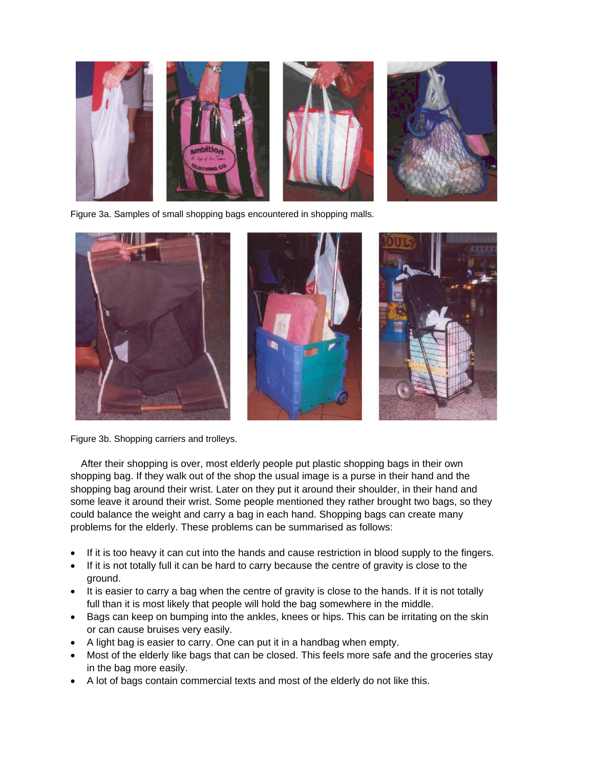

Figure 3a. Samples of small shopping bags encountered in shopping malls.



Figure 3b. Shopping carriers and trolleys.

After their shopping is over, most elderly people put plastic shopping bags in their own shopping bag. If they walk out of the shop the usual image is a purse in their hand and the shopping bag around their wrist. Later on they put it around their shoulder, in their hand and some leave it around their wrist. Some people mentioned they rather brought two bags, so they could balance the weight and carry a bag in each hand. Shopping bags can create many problems for the elderly. These problems can be summarised as follows:

- If it is too heavy it can cut into the hands and cause restriction in blood supply to the fingers.
- If it is not totally full it can be hard to carry because the centre of gravity is close to the ground.
- It is easier to carry a bag when the centre of gravity is close to the hands. If it is not totally full than it is most likely that people will hold the bag somewhere in the middle.
- Bags can keep on bumping into the ankles, knees or hips. This can be irritating on the skin or can cause bruises very easily.
- A light bag is easier to carry. One can put it in a handbag when empty.
- Most of the elderly like bags that can be closed. This feels more safe and the groceries stay in the bag more easily.
- A lot of bags contain commercial texts and most of the elderly do not like this.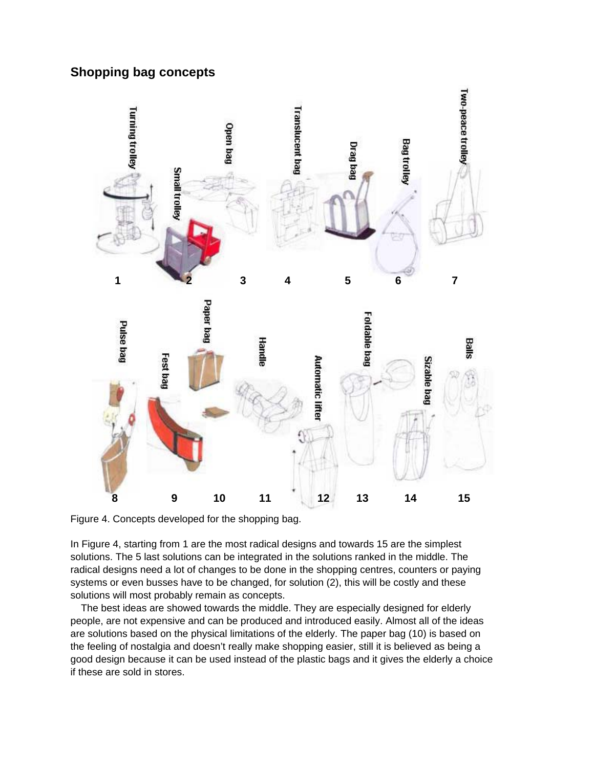#### **Shopping bag concepts**



Figure 4. Concepts developed for the shopping bag.

In Figure 4, starting from 1 are the most radical designs and towards 15 are the simplest solutions. The 5 last solutions can be integrated in the solutions ranked in the middle. The radical designs need a lot of changes to be done in the shopping centres, counters or paying systems or even busses have to be changed, for solution (2), this will be costly and these solutions will most probably remain as concepts.

The best ideas are showed towards the middle. They are especially designed for elderly people, are not expensive and can be produced and introduced easily. Almost all of the ideas are solutions based on the physical limitations of the elderly. The paper bag (10) is based on the feeling of nostalgia and doesn't really make shopping easier, still it is believed as being a good design because it can be used instead of the plastic bags and it gives the elderly a choice if these are sold in stores.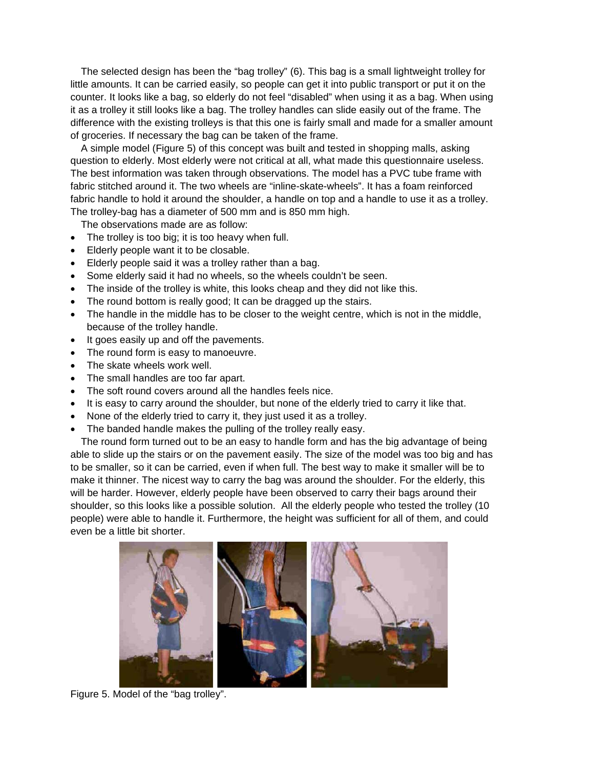The selected design has been the "bag trolley" (6). This bag is a small lightweight trolley for little amounts. It can be carried easily, so people can get it into public transport or put it on the counter. It looks like a bag, so elderly do not feel "disabled" when using it as a bag. When using it as a trolley it still looks like a bag. The trolley handles can slide easily out of the frame. The difference with the existing trolleys is that this one is fairly small and made for a smaller amount of groceries. If necessary the bag can be taken of the frame.

A simple model (Figure 5) of this concept was built and tested in shopping malls, asking question to elderly. Most elderly were not critical at all, what made this questionnaire useless. The best information was taken through observations. The model has a PVC tube frame with fabric stitched around it. The two wheels are "inline-skate-wheels". It has a foam reinforced fabric handle to hold it around the shoulder, a handle on top and a handle to use it as a trolley. The trolley-bag has a diameter of 500 mm and is 850 mm high.

The observations made are as follow:

- The trolley is too big; it is too heavy when full.
- Elderly people want it to be closable.
- Elderly people said it was a trolley rather than a bag.
- Some elderly said it had no wheels, so the wheels couldn't be seen.
- The inside of the trolley is white, this looks cheap and they did not like this.
- The round bottom is really good; It can be dragged up the stairs.
- The handle in the middle has to be closer to the weight centre, which is not in the middle, because of the trolley handle.
- It goes easily up and off the pavements.
- The round form is easy to manoeuvre.
- The skate wheels work well.
- The small handles are too far apart.
- The soft round covers around all the handles feels nice.
- It is easy to carry around the shoulder, but none of the elderly tried to carry it like that.
- None of the elderly tried to carry it, they just used it as a trolley.
- The banded handle makes the pulling of the trolley really easy.

The round form turned out to be an easy to handle form and has the big advantage of being able to slide up the stairs or on the pavement easily. The size of the model was too big and has to be smaller, so it can be carried, even if when full. The best way to make it smaller will be to make it thinner. The nicest way to carry the bag was around the shoulder. For the elderly, this will be harder. However, elderly people have been observed to carry their bags around their shoulder, so this looks like a possible solution. All the elderly people who tested the trolley (10 people) were able to handle it. Furthermore, the height was sufficient for all of them, and could even be a little bit shorter.



Figure 5. Model of the "bag trolley".